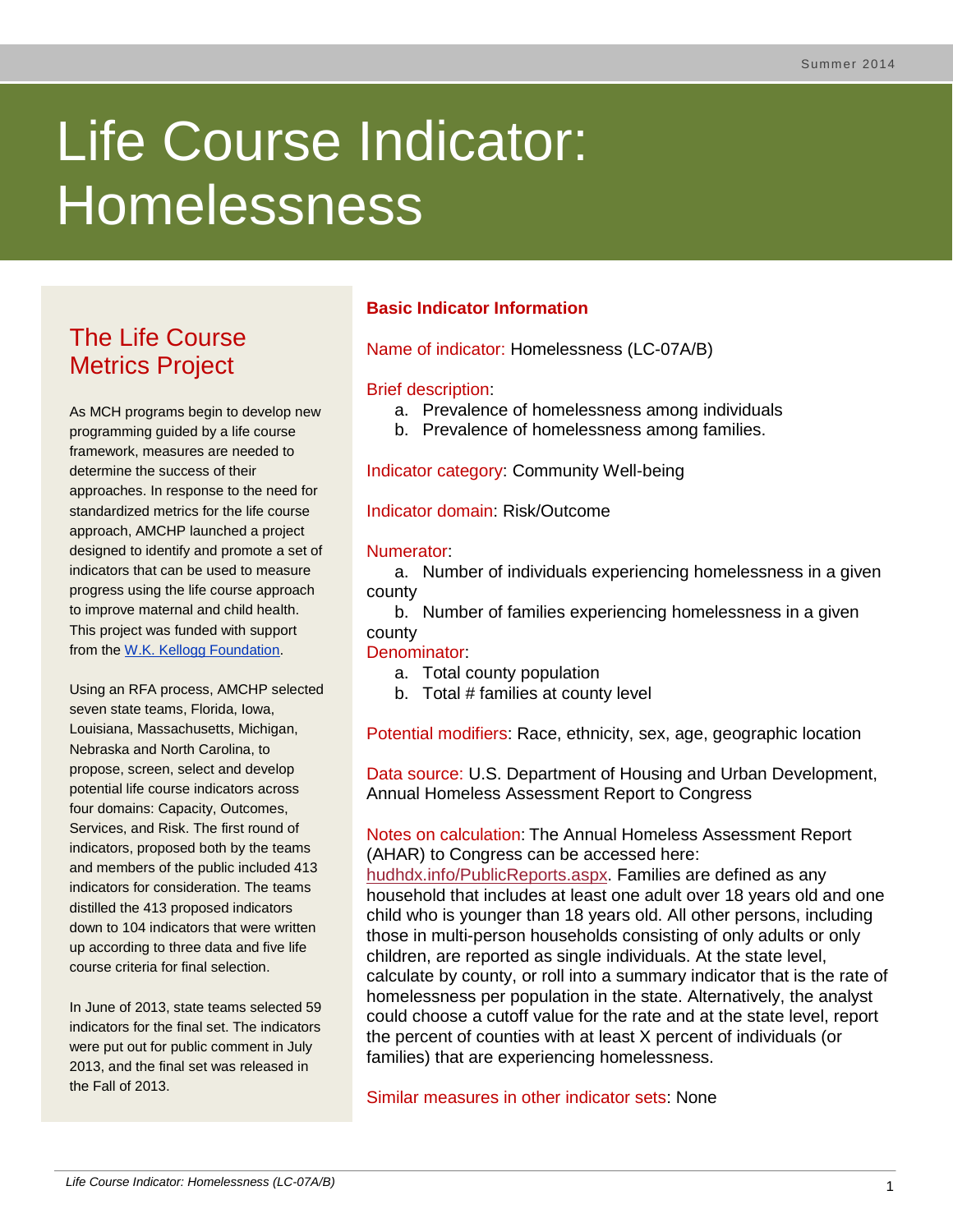# Life Course Indicator: Homelessness

# The Life Course Metrics Project

As MCH programs begin to develop new programming guided by a life course framework, measures are needed to determine the success of their approaches. In response to the need for standardized metrics for the life course approach, AMCHP launched a project designed to identify and promote a set of indicators that can be used to measure progress using the life course approach to improve maternal and child health. This project was funded with support from the [W.K. Kellogg Foundation.](http://www.wkkf.org/)

Using an RFA process, AMCHP selected seven state teams, Florida, Iowa, Louisiana, Massachusetts, Michigan, Nebraska and North Carolina, to propose, screen, select and develop potential life course indicators across four domains: Capacity, Outcomes, Services, and Risk. The first round of indicators, proposed both by the teams and members of the public included 413 indicators for consideration. The teams distilled the 413 proposed indicators down to 104 indicators that were written up according to three data and five life course criteria for final selection.

In June of 2013, state teams selected 59 indicators for the final set. The indicators were put out for public comment in July 2013, and the final set was released in the Fall of 2013.

# **Basic Indicator Information**

Name of indicator: Homelessness (LC-07A/B)

#### Brief description:

- a. Prevalence of homelessness among individuals
- b. Prevalence of homelessness among families.

Indicator category: Community Well-being

Indicator domain: Risk/Outcome

#### Numerator:

a. Number of individuals experiencing homelessness in a given county

b. Number of families experiencing homelessness in a given county

#### Denominator:

- a. Total county population
- b. Total # families at county level

Potential modifiers: Race, ethnicity, sex, age, geographic location

Data source: U.S. Department of Housing and Urban Development, Annual Homeless Assessment Report to Congress

Notes on calculation: The Annual Homeless Assessment Report (AHAR) to Congress can be accessed here:

[hudhdx.info/PublicReports.aspx.](http://www.hudhdx.info/PublicReports.aspx) Families are defined as any household that includes at least one adult over 18 years old and one child who is younger than 18 years old. All other persons, including those in multi-person households consisting of only adults or only children, are reported as single individuals. At the state level, calculate by county, or roll into a summary indicator that is the rate of homelessness per population in the state. Alternatively, the analyst could choose a cutoff value for the rate and at the state level, report the percent of counties with at least X percent of individuals (or families) that are experiencing homelessness.

Similar measures in other indicator sets: None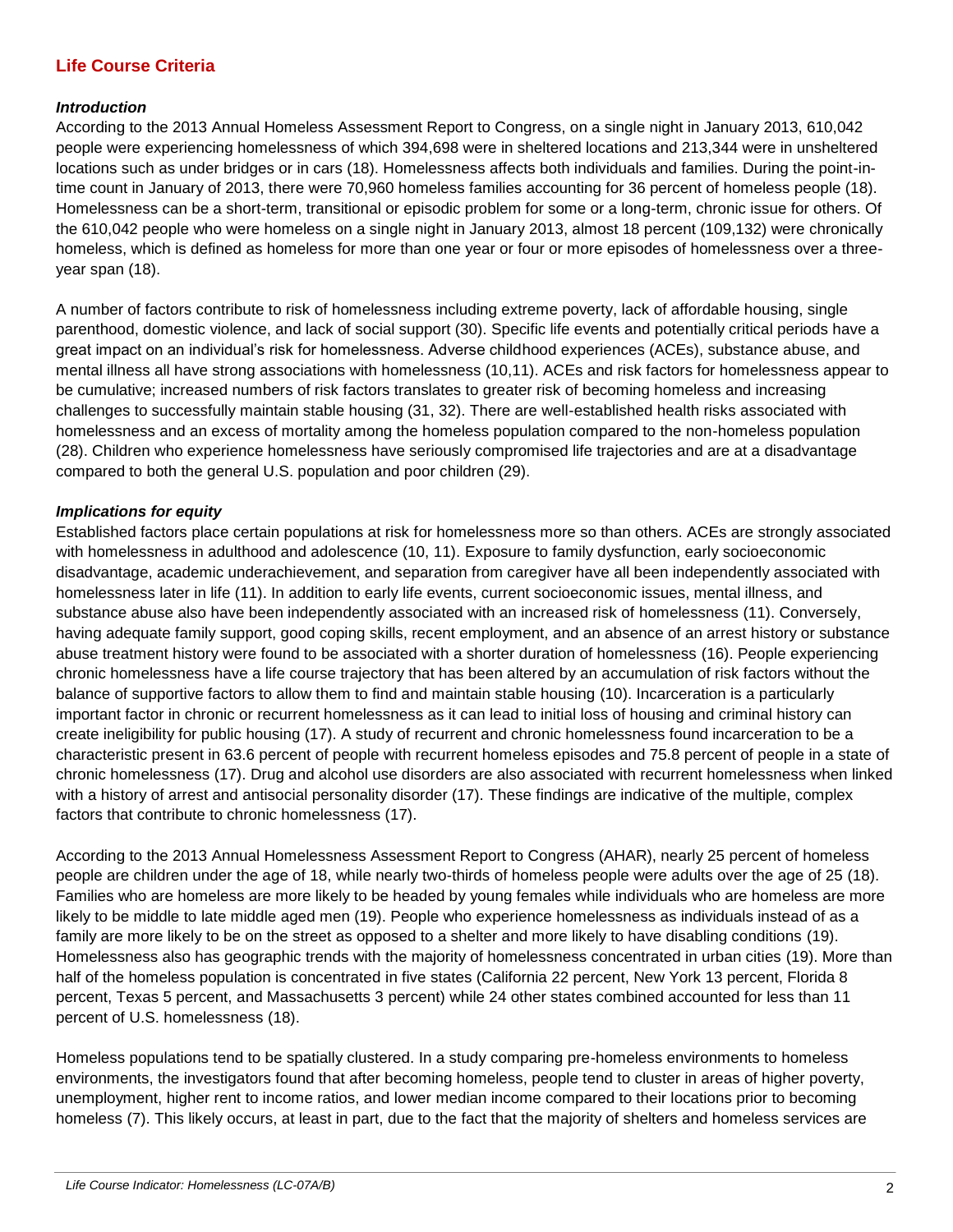### **Life Course Criteria**

#### *Introduction*

According to the 2013 Annual Homeless Assessment Report to Congress, on a single night in January 2013, 610,042 people were experiencing homelessness of which 394,698 were in sheltered locations and 213,344 were in unsheltered locations such as under bridges or in cars (18). Homelessness affects both individuals and families. During the point-intime count in January of 2013, there were 70,960 homeless families accounting for 36 percent of homeless people (18). Homelessness can be a short-term, transitional or episodic problem for some or a long-term, chronic issue for others. Of the 610,042 people who were homeless on a single night in January 2013, almost 18 percent (109,132) were chronically homeless, which is defined as homeless for more than one year or four or more episodes of homelessness over a threeyear span (18).

A number of factors contribute to risk of homelessness including extreme poverty, lack of affordable housing, single parenthood, domestic violence, and lack of social support (30). Specific life events and potentially critical periods have a great impact on an individual's risk for homelessness. Adverse childhood experiences (ACEs), substance abuse, and mental illness all have strong associations with homelessness (10,11). ACEs and risk factors for homelessness appear to be cumulative; increased numbers of risk factors translates to greater risk of becoming homeless and increasing challenges to successfully maintain stable housing (31, 32). There are well-established health risks associated with homelessness and an excess of mortality among the homeless population compared to the non-homeless population (28). Children who experience homelessness have seriously compromised life trajectories and are at a disadvantage compared to both the general U.S. population and poor children (29).

#### *Implications for equity*

Established factors place certain populations at risk for homelessness more so than others. ACEs are strongly associated with homelessness in adulthood and adolescence (10, 11). Exposure to family dysfunction, early socioeconomic disadvantage, academic underachievement, and separation from caregiver have all been independently associated with homelessness later in life (11). In addition to early life events, current socioeconomic issues, mental illness, and substance abuse also have been independently associated with an increased risk of homelessness (11). Conversely, having adequate family support, good coping skills, recent employment, and an absence of an arrest history or substance abuse treatment history were found to be associated with a shorter duration of homelessness (16). People experiencing chronic homelessness have a life course trajectory that has been altered by an accumulation of risk factors without the balance of supportive factors to allow them to find and maintain stable housing (10). Incarceration is a particularly important factor in chronic or recurrent homelessness as it can lead to initial loss of housing and criminal history can create ineligibility for public housing (17). A study of recurrent and chronic homelessness found incarceration to be a characteristic present in 63.6 percent of people with recurrent homeless episodes and 75.8 percent of people in a state of chronic homelessness (17). Drug and alcohol use disorders are also associated with recurrent homelessness when linked with a history of arrest and antisocial personality disorder (17). These findings are indicative of the multiple, complex factors that contribute to chronic homelessness (17).

According to the 2013 Annual Homelessness Assessment Report to Congress (AHAR), nearly 25 percent of homeless people are children under the age of 18, while nearly two-thirds of homeless people were adults over the age of 25 (18). Families who are homeless are more likely to be headed by young females while individuals who are homeless are more likely to be middle to late middle aged men (19). People who experience homelessness as individuals instead of as a family are more likely to be on the street as opposed to a shelter and more likely to have disabling conditions (19). Homelessness also has geographic trends with the majority of homelessness concentrated in urban cities (19). More than half of the homeless population is concentrated in five states (California 22 percent, New York 13 percent, Florida 8 percent, Texas 5 percent, and Massachusetts 3 percent) while 24 other states combined accounted for less than 11 percent of U.S. homelessness (18).

Homeless populations tend to be spatially clustered. In a study comparing pre-homeless environments to homeless environments, the investigators found that after becoming homeless, people tend to cluster in areas of higher poverty, unemployment, higher rent to income ratios, and lower median income compared to their locations prior to becoming homeless (7). This likely occurs, at least in part, due to the fact that the majority of shelters and homeless services are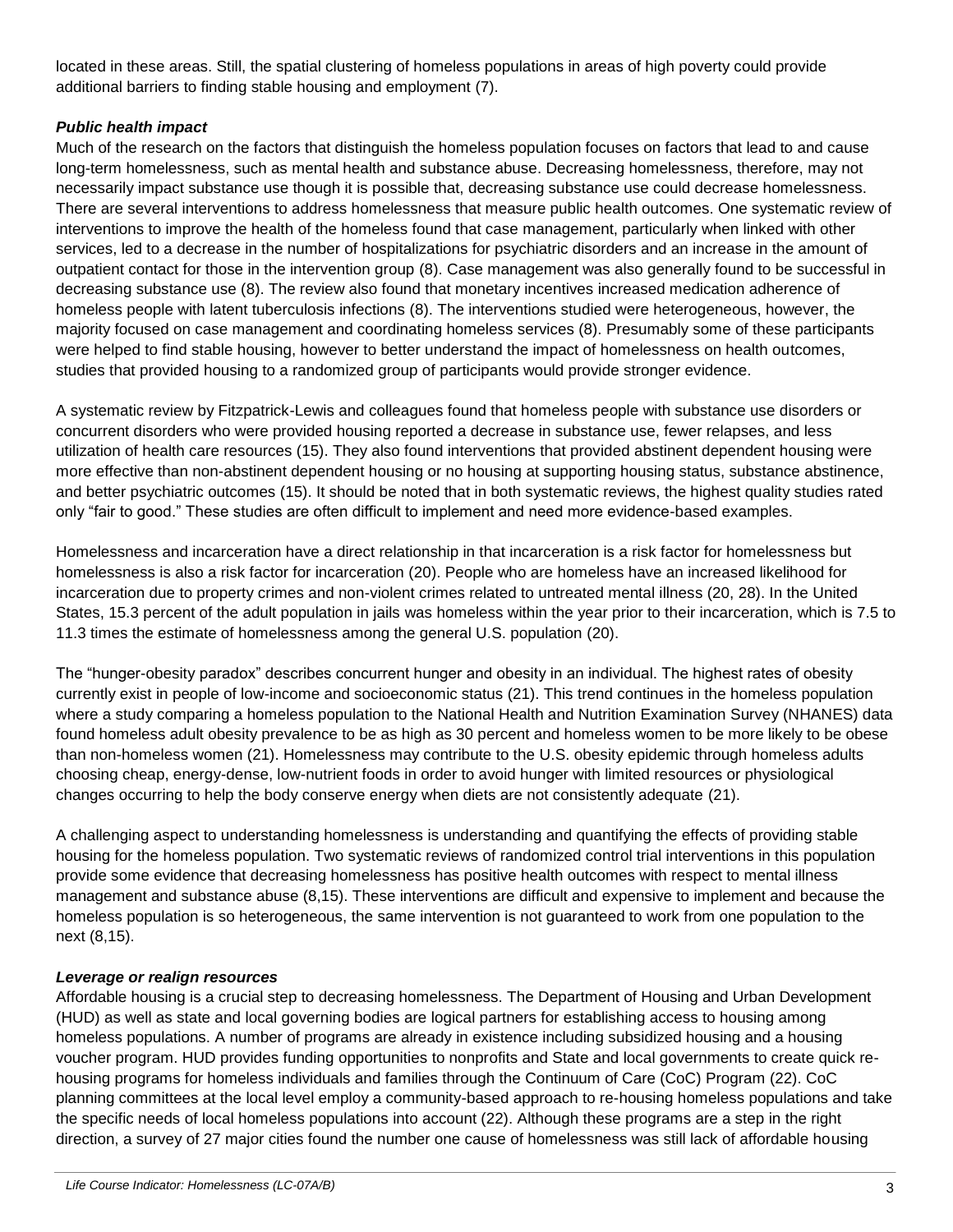located in these areas. Still, the spatial clustering of homeless populations in areas of high poverty could provide additional barriers to finding stable housing and employment (7).

#### *Public health impact*

Much of the research on the factors that distinguish the homeless population focuses on factors that lead to and cause long-term homelessness, such as mental health and substance abuse. Decreasing homelessness, therefore, may not necessarily impact substance use though it is possible that, decreasing substance use could decrease homelessness. There are several interventions to address homelessness that measure public health outcomes. One systematic review of interventions to improve the health of the homeless found that case management, particularly when linked with other services, led to a decrease in the number of hospitalizations for psychiatric disorders and an increase in the amount of outpatient contact for those in the intervention group (8). Case management was also generally found to be successful in decreasing substance use (8). The review also found that monetary incentives increased medication adherence of homeless people with latent tuberculosis infections (8). The interventions studied were heterogeneous, however, the majority focused on case management and coordinating homeless services (8). Presumably some of these participants were helped to find stable housing, however to better understand the impact of homelessness on health outcomes, studies that provided housing to a randomized group of participants would provide stronger evidence.

A systematic review by Fitzpatrick-Lewis and colleagues found that homeless people with substance use disorders or concurrent disorders who were provided housing reported a decrease in substance use, fewer relapses, and less utilization of health care resources (15). They also found interventions that provided abstinent dependent housing were more effective than non-abstinent dependent housing or no housing at supporting housing status, substance abstinence, and better psychiatric outcomes (15). It should be noted that in both systematic reviews, the highest quality studies rated only "fair to good." These studies are often difficult to implement and need more evidence-based examples.

Homelessness and incarceration have a direct relationship in that incarceration is a risk factor for homelessness but homelessness is also a risk factor for incarceration (20). People who are homeless have an increased likelihood for incarceration due to property crimes and non-violent crimes related to untreated mental illness (20, 28). In the United States, 15.3 percent of the adult population in jails was homeless within the year prior to their incarceration, which is 7.5 to 11.3 times the estimate of homelessness among the general U.S. population (20).

The "hunger-obesity paradox" describes concurrent hunger and obesity in an individual. The highest rates of obesity currently exist in people of low-income and socioeconomic status (21). This trend continues in the homeless population where a study comparing a homeless population to the National Health and Nutrition Examination Survey (NHANES) data found homeless adult obesity prevalence to be as high as 30 percent and homeless women to be more likely to be obese than non-homeless women (21). Homelessness may contribute to the U.S. obesity epidemic through homeless adults choosing cheap, energy-dense, low-nutrient foods in order to avoid hunger with limited resources or physiological changes occurring to help the body conserve energy when diets are not consistently adequate (21).

A challenging aspect to understanding homelessness is understanding and quantifying the effects of providing stable housing for the homeless population. Two systematic reviews of randomized control trial interventions in this population provide some evidence that decreasing homelessness has positive health outcomes with respect to mental illness management and substance abuse (8,15). These interventions are difficult and expensive to implement and because the homeless population is so heterogeneous, the same intervention is not guaranteed to work from one population to the next (8,15).

#### *Leverage or realign resources*

Affordable housing is a crucial step to decreasing homelessness. The Department of Housing and Urban Development (HUD) as well as state and local governing bodies are logical partners for establishing access to housing among homeless populations. A number of programs are already in existence including subsidized housing and a housing voucher program. HUD provides funding opportunities to nonprofits and State and local governments to create quick rehousing programs for homeless individuals and families through the Continuum of Care (CoC) Program (22). CoC planning committees at the local level employ a community-based approach to re-housing homeless populations and take the specific needs of local homeless populations into account (22). Although these programs are a step in the right direction, a survey of 27 major cities found the number one cause of homelessness was still lack of affordable housing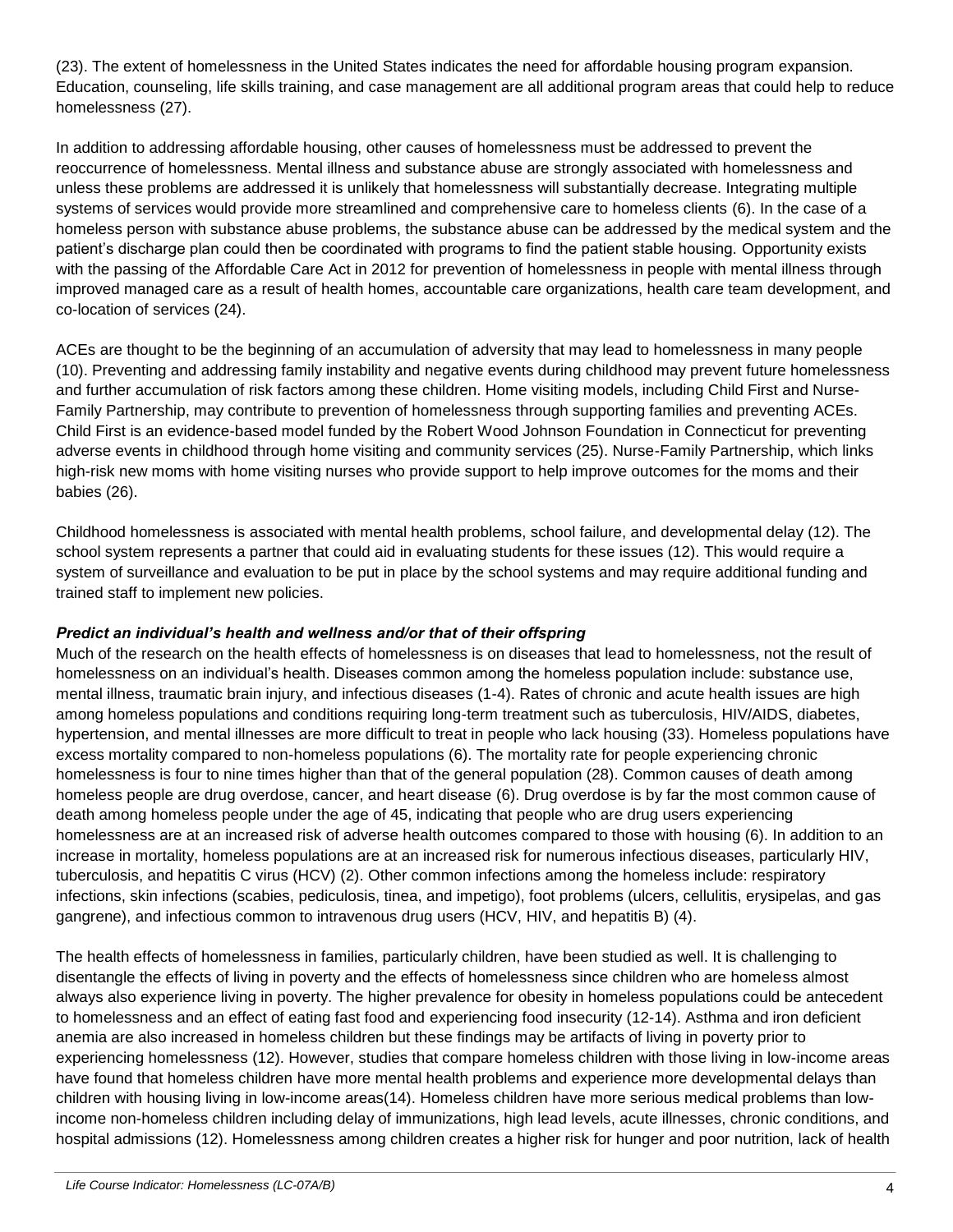(23). The extent of homelessness in the United States indicates the need for affordable housing program expansion. Education, counseling, life skills training, and case management are all additional program areas that could help to reduce homelessness (27).

In addition to addressing affordable housing, other causes of homelessness must be addressed to prevent the reoccurrence of homelessness. Mental illness and substance abuse are strongly associated with homelessness and unless these problems are addressed it is unlikely that homelessness will substantially decrease. Integrating multiple systems of services would provide more streamlined and comprehensive care to homeless clients (6). In the case of a homeless person with substance abuse problems, the substance abuse can be addressed by the medical system and the patient's discharge plan could then be coordinated with programs to find the patient stable housing. Opportunity exists with the passing of the Affordable Care Act in 2012 for prevention of homelessness in people with mental illness through improved managed care as a result of health homes, accountable care organizations, health care team development, and co-location of services (24).

ACEs are thought to be the beginning of an accumulation of adversity that may lead to homelessness in many people (10). Preventing and addressing family instability and negative events during childhood may prevent future homelessness and further accumulation of risk factors among these children. Home visiting models, including Child First and Nurse-Family Partnership, may contribute to prevention of homelessness through supporting families and preventing ACEs. Child First is an evidence-based model funded by the Robert Wood Johnson Foundation in Connecticut for preventing adverse events in childhood through home visiting and community services (25). Nurse-Family Partnership, which links high-risk new moms with home visiting nurses who provide support to help improve outcomes for the moms and their babies (26).

Childhood homelessness is associated with mental health problems, school failure, and developmental delay (12). The school system represents a partner that could aid in evaluating students for these issues (12). This would require a system of surveillance and evaluation to be put in place by the school systems and may require additional funding and trained staff to implement new policies.

#### *Predict an individual's health and wellness and/or that of their offspring*

Much of the research on the health effects of homelessness is on diseases that lead to homelessness, not the result of homelessness on an individual's health. Diseases common among the homeless population include: substance use, mental illness, traumatic brain injury, and infectious diseases (1-4). Rates of chronic and acute health issues are high among homeless populations and conditions requiring long-term treatment such as tuberculosis, HIV/AIDS, diabetes, hypertension, and mental illnesses are more difficult to treat in people who lack housing (33). Homeless populations have excess mortality compared to non-homeless populations (6). The mortality rate for people experiencing chronic homelessness is four to nine times higher than that of the general population (28). Common causes of death among homeless people are drug overdose, cancer, and heart disease (6). Drug overdose is by far the most common cause of death among homeless people under the age of 45, indicating that people who are drug users experiencing homelessness are at an increased risk of adverse health outcomes compared to those with housing (6). In addition to an increase in mortality, homeless populations are at an increased risk for numerous infectious diseases, particularly HIV, tuberculosis, and hepatitis C virus (HCV) (2). Other common infections among the homeless include: respiratory infections, skin infections (scabies, pediculosis, tinea, and impetigo), foot problems (ulcers, cellulitis, erysipelas, and gas gangrene), and infectious common to intravenous drug users (HCV, HIV, and hepatitis B) (4).

The health effects of homelessness in families, particularly children, have been studied as well. It is challenging to disentangle the effects of living in poverty and the effects of homelessness since children who are homeless almost always also experience living in poverty. The higher prevalence for obesity in homeless populations could be antecedent to homelessness and an effect of eating fast food and experiencing food insecurity (12-14). Asthma and iron deficient anemia are also increased in homeless children but these findings may be artifacts of living in poverty prior to experiencing homelessness (12). However, studies that compare homeless children with those living in low-income areas have found that homeless children have more mental health problems and experience more developmental delays than children with housing living in low-income areas(14). Homeless children have more serious medical problems than lowincome non-homeless children including delay of immunizations, high lead levels, acute illnesses, chronic conditions, and hospital admissions (12). Homelessness among children creates a higher risk for hunger and poor nutrition, lack of health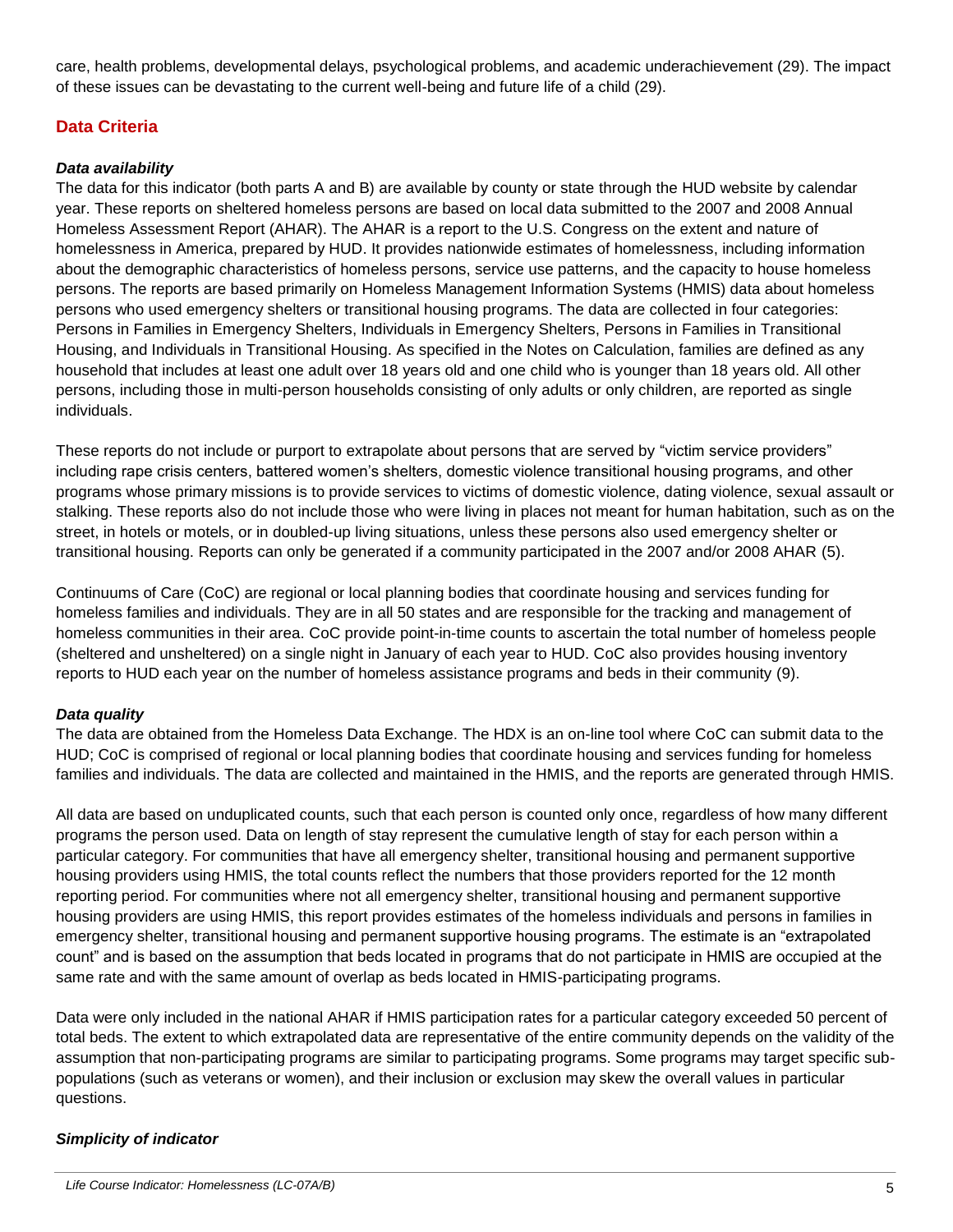care, health problems, developmental delays, psychological problems, and academic underachievement (29). The impact of these issues can be devastating to the current well-being and future life of a child (29).

# **Data Criteria**

#### *Data availability*

The data for this indicator (both parts A and B) are available by county or state through the HUD website by calendar year. These reports on sheltered homeless persons are based on local data submitted to the 2007 and 2008 Annual Homeless Assessment Report (AHAR). The AHAR is a report to the U.S. Congress on the extent and nature of homelessness in America, prepared by HUD. It provides nationwide estimates of homelessness, including information about the demographic characteristics of homeless persons, service use patterns, and the capacity to house homeless persons. The reports are based primarily on Homeless Management Information Systems (HMIS) data about homeless persons who used emergency shelters or transitional housing programs. The data are collected in four categories: Persons in Families in Emergency Shelters, Individuals in Emergency Shelters, Persons in Families in Transitional Housing, and Individuals in Transitional Housing. As specified in the Notes on Calculation, families are defined as any household that includes at least one adult over 18 years old and one child who is younger than 18 years old. All other persons, including those in multi-person households consisting of only adults or only children, are reported as single individuals.

These reports do not include or purport to extrapolate about persons that are served by "victim service providers" including rape crisis centers, battered women's shelters, domestic violence transitional housing programs, and other programs whose primary missions is to provide services to victims of domestic violence, dating violence, sexual assault or stalking. These reports also do not include those who were living in places not meant for human habitation, such as on the street, in hotels or motels, or in doubled-up living situations, unless these persons also used emergency shelter or transitional housing. Reports can only be generated if a community participated in the 2007 and/or 2008 AHAR (5).

Continuums of Care (CoC) are regional or local planning bodies that coordinate housing and services funding for homeless families and individuals. They are in all 50 states and are responsible for the tracking and management of homeless communities in their area. CoC provide point-in-time counts to ascertain the total number of homeless people (sheltered and unsheltered) on a single night in January of each year to HUD. CoC also provides housing inventory reports to HUD each year on the number of homeless assistance programs and beds in their community (9).

#### *Data quality*

The data are obtained from the Homeless Data Exchange. The HDX is an on-line tool where CoC can submit data to the HUD; CoC is comprised of regional or local planning bodies that coordinate housing and services funding for homeless families and individuals. The data are collected and maintained in the HMIS, and the reports are generated through HMIS.

All data are based on unduplicated counts, such that each person is counted only once, regardless of how many different programs the person used. Data on length of stay represent the cumulative length of stay for each person within a particular category. For communities that have all emergency shelter, transitional housing and permanent supportive housing providers using HMIS, the total counts reflect the numbers that those providers reported for the 12 month reporting period. For communities where not all emergency shelter, transitional housing and permanent supportive housing providers are using HMIS, this report provides estimates of the homeless individuals and persons in families in emergency shelter, transitional housing and permanent supportive housing programs. The estimate is an "extrapolated count" and is based on the assumption that beds located in programs that do not participate in HMIS are occupied at the same rate and with the same amount of overlap as beds located in HMIS-participating programs.

Data were only included in the national AHAR if HMIS participation rates for a particular category exceeded 50 percent of total beds. The extent to which extrapolated data are representative of the entire community depends on the validity of the assumption that non-participating programs are similar to participating programs. Some programs may target specific subpopulations (such as veterans or women), and their inclusion or exclusion may skew the overall values in particular questions.

#### *Simplicity of indicator*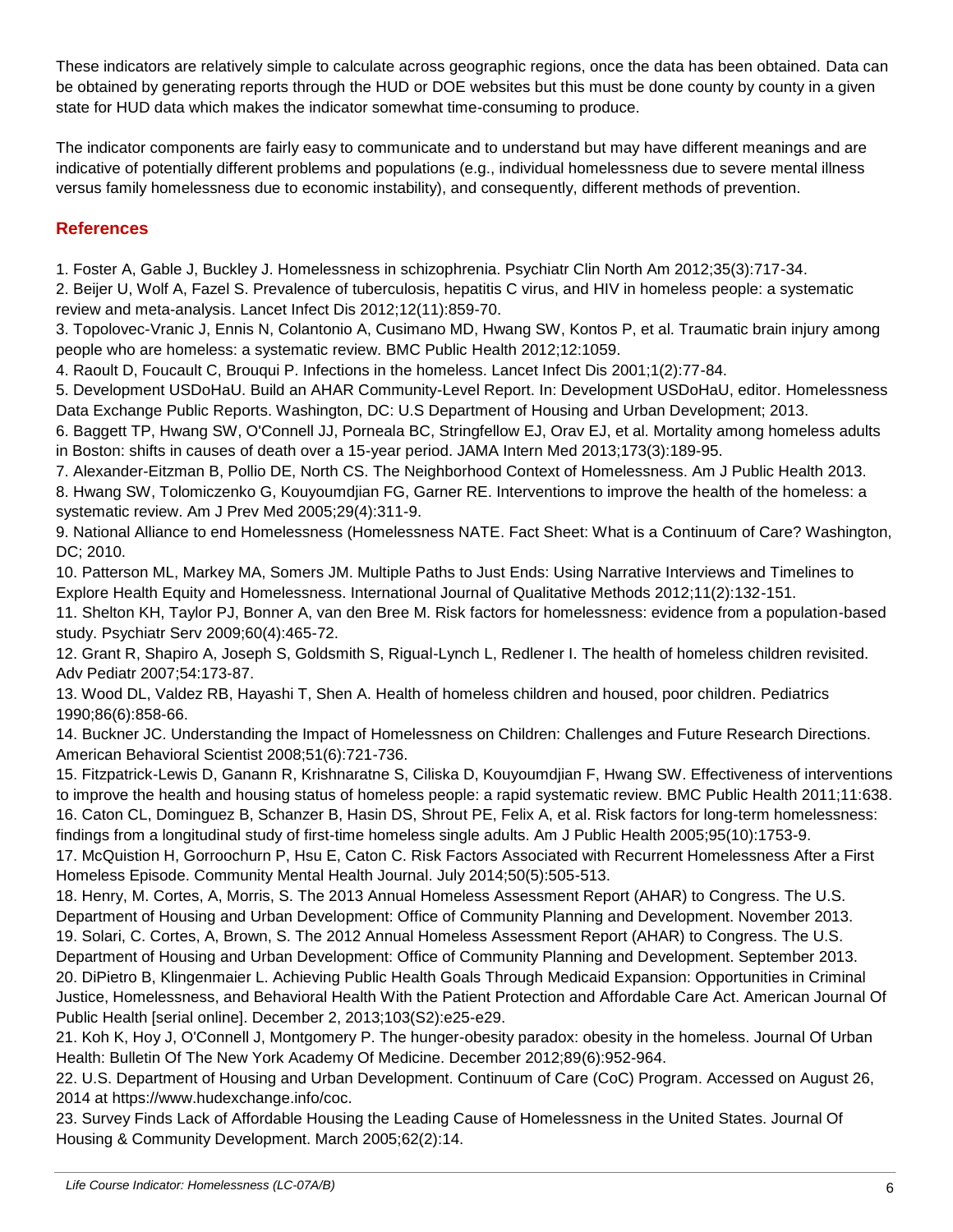These indicators are relatively simple to calculate across geographic regions, once the data has been obtained. Data can be obtained by generating reports through the HUD or DOE websites but this must be done county by county in a given state for HUD data which makes the indicator somewhat time-consuming to produce.

The indicator components are fairly easy to communicate and to understand but may have different meanings and are indicative of potentially different problems and populations (e.g., individual homelessness due to severe mental illness versus family homelessness due to economic instability), and consequently, different methods of prevention.

# **References**

1. Foster A, Gable J, Buckley J. Homelessness in schizophrenia. Psychiatr Clin North Am 2012;35(3):717-34.

2. Beijer U, Wolf A, Fazel S. Prevalence of tuberculosis, hepatitis C virus, and HIV in homeless people: a systematic review and meta-analysis. Lancet Infect Dis 2012;12(11):859-70.

3. Topolovec-Vranic J, Ennis N, Colantonio A, Cusimano MD, Hwang SW, Kontos P, et al. Traumatic brain injury among people who are homeless: a systematic review. BMC Public Health 2012;12:1059.

4. Raoult D, Foucault C, Brouqui P. Infections in the homeless. Lancet Infect Dis 2001;1(2):77-84.

5. Development USDoHaU. Build an AHAR Community-Level Report. In: Development USDoHaU, editor. Homelessness Data Exchange Public Reports. Washington, DC: U.S Department of Housing and Urban Development; 2013.

6. Baggett TP, Hwang SW, O'Connell JJ, Porneala BC, Stringfellow EJ, Orav EJ, et al. Mortality among homeless adults in Boston: shifts in causes of death over a 15-year period. JAMA Intern Med 2013;173(3):189-95.

7. Alexander-Eitzman B, Pollio DE, North CS. The Neighborhood Context of Homelessness. Am J Public Health 2013. 8. Hwang SW, Tolomiczenko G, Kouyoumdjian FG, Garner RE. Interventions to improve the health of the homeless: a systematic review. Am J Prev Med 2005;29(4):311-9.

9. National Alliance to end Homelessness (Homelessness NATE. Fact Sheet: What is a Continuum of Care? Washington, DC; 2010.

10. Patterson ML, Markey MA, Somers JM. Multiple Paths to Just Ends: Using Narrative Interviews and Timelines to Explore Health Equity and Homelessness. International Journal of Qualitative Methods 2012;11(2):132-151.

11. Shelton KH, Taylor PJ, Bonner A, van den Bree M. Risk factors for homelessness: evidence from a population-based study. Psychiatr Serv 2009;60(4):465-72.

12. Grant R, Shapiro A, Joseph S, Goldsmith S, Rigual-Lynch L, Redlener I. The health of homeless children revisited. Adv Pediatr 2007;54:173-87.

13. Wood DL, Valdez RB, Hayashi T, Shen A. Health of homeless children and housed, poor children. Pediatrics 1990;86(6):858-66.

14. Buckner JC. Understanding the Impact of Homelessness on Children: Challenges and Future Research Directions. American Behavioral Scientist 2008;51(6):721-736.

15. Fitzpatrick-Lewis D, Ganann R, Krishnaratne S, Ciliska D, Kouyoumdjian F, Hwang SW. Effectiveness of interventions to improve the health and housing status of homeless people: a rapid systematic review. BMC Public Health 2011;11:638. 16. Caton CL, Dominguez B, Schanzer B, Hasin DS, Shrout PE, Felix A, et al. Risk factors for long-term homelessness: findings from a longitudinal study of first-time homeless single adults. Am J Public Health 2005;95(10):1753-9.

17. McQuistion H, Gorroochurn P, Hsu E, Caton C. Risk Factors Associated with Recurrent Homelessness After a First Homeless Episode. Community Mental Health Journal. July 2014;50(5):505-513.

18. Henry, M. Cortes, A, Morris, S. The 2013 Annual Homeless Assessment Report (AHAR) to Congress. The U.S. Department of Housing and Urban Development: Office of Community Planning and Development. November 2013. 19. Solari, C. Cortes, A, Brown, S. The 2012 Annual Homeless Assessment Report (AHAR) to Congress. The U.S. Department of Housing and Urban Development: Office of Community Planning and Development. September 2013. 20. DiPietro B, Klingenmaier L. Achieving Public Health Goals Through Medicaid Expansion: Opportunities in Criminal Justice, Homelessness, and Behavioral Health With the Patient Protection and Affordable Care Act. American Journal Of Public Health [serial online]. December 2, 2013;103(S2):e25-e29.

21. Koh K, Hoy J, O'Connell J, Montgomery P. The hunger-obesity paradox: obesity in the homeless. Journal Of Urban Health: Bulletin Of The New York Academy Of Medicine. December 2012;89(6):952-964.

22. U.S. Department of Housing and Urban Development. Continuum of Care (CoC) Program. Accessed on August 26, 2014 at https://www.hudexchange.info/coc.

23. Survey Finds Lack of Affordable Housing the Leading Cause of Homelessness in the United States. Journal Of Housing & Community Development. March 2005;62(2):14.